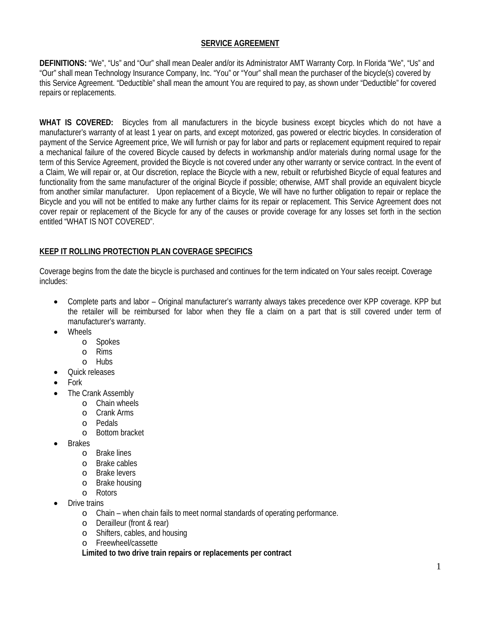### **SERVICE AGREEMENT**

**DEFINITIONS:** "We", "Us" and "Our" shall mean Dealer and/or its Administrator AMT Warranty Corp. In Florida "We", "Us" and "Our" shall mean Technology Insurance Company, Inc. "You" or "Your" shall mean the purchaser of the bicycle(s) covered by this Service Agreement. "Deductible" shall mean the amount You are required to pay, as shown under "Deductible" for covered repairs or replacements.

**WHAT IS COVERED:** Bicycles from all manufacturers in the bicycle business except bicycles which do not have a manufacturer's warranty of at least 1 year on parts, and except motorized, gas powered or electric bicycles. In consideration of payment of the Service Agreement price, We will furnish or pay for labor and parts or replacement equipment required to repair a mechanical failure of the covered Bicycle caused by defects in workmanship and/or materials during normal usage for the term of this Service Agreement, provided the Bicycle is not covered under any other warranty or service contract. In the event of a Claim, We will repair or, at Our discretion, replace the Bicycle with a new, rebuilt or refurbished Bicycle of equal features and functionality from the same manufacturer of the original Bicycle if possible; otherwise, AMT shall provide an equivalent bicycle from another similar manufacturer. Upon replacement of a Bicycle, We will have no further obligation to repair or replace the Bicycle and you will not be entitled to make any further claims for its repair or replacement. This Service Agreement does not cover repair or replacement of the Bicycle for any of the causes or provide coverage for any losses set forth in the section entitled "WHAT IS NOT COVERED".

### **KEEP IT ROLLING PROTECTION PLAN COVERAGE SPECIFICS**

Coverage begins from the date the bicycle is purchased and continues for the term indicated on Your sales receipt. Coverage includes:

- Complete parts and labor Original manufacturer's warranty always takes precedence over KPP coverage. KPP but the retailer will be reimbursed for labor when they file a claim on a part that is still covered under term of manufacturer's warranty.
- Wheels
	- o Spokes
	- o Rims<br>o Hubs
	- **Hubs**
- Quick releases
- Fork
- The Crank Assembly
	- o Chain wheels
	- o Crank Arms
	- o Pedals
	- o Bottom bracket
- **Brakes** 
	- o Brake lines
	- o Brake cables
	- o Brake levers
	- o Brake housing
	- o Rotors
- Drive trains
	- o Chain when chain fails to meet normal standards of operating performance.
	- o Derailleur (front & rear)
	- o Shifters, cables, and housing
	- o Freewheel/cassette

**Limited to two drive train repairs or replacements per contract**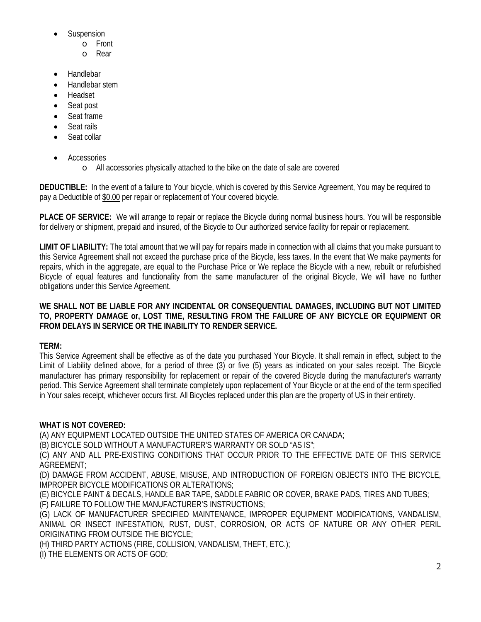- **Suspension** 
	- o Front<br>o Rear
	- Rear
- **Handlebar**
- Handlebar stem
- Headset
- Seat post
- Seat frame
- Seat rails
- Seat collar
- **Accessories** 
	- o All accessories physically attached to the bike on the date of sale are covered

**DEDUCTIBLE:** In the event of a failure to Your bicycle, which is covered by this Service Agreement, You may be required to pay a Deductible of \$0.00 per repair or replacement of Your covered bicycle.

**PLACE OF SERVICE:** We will arrange to repair or replace the Bicycle during normal business hours. You will be responsible for delivery or shipment, prepaid and insured, of the Bicycle to Our authorized service facility for repair or replacement.

**LIMIT OF LIABILITY:** The total amount that we will pay for repairs made in connection with all claims that you make pursuant to this Service Agreement shall not exceed the purchase price of the Bicycle, less taxes. In the event that We make payments for repairs, which in the aggregate, are equal to the Purchase Price or We replace the Bicycle with a new, rebuilt or refurbished Bicycle of equal features and functionality from the same manufacturer of the original Bicycle, We will have no further obligations under this Service Agreement.

### **WE SHALL NOT BE LIABLE FOR ANY INCIDENTAL OR CONSEQUENTIAL DAMAGES, INCLUDING BUT NOT LIMITED TO, PROPERTY DAMAGE or, LOST TIME, RESULTING FROM THE FAILURE OF ANY BICYCLE OR EQUIPMENT OR FROM DELAYS IN SERVICE OR THE INABILITY TO RENDER SERVICE.**

# **TERM:**

This Service Agreement shall be effective as of the date you purchased Your Bicycle. It shall remain in effect, subject to the Limit of Liability defined above, for a period of three (3) or five (5) years as indicated on your sales receipt. The Bicycle manufacturer has primary responsibility for replacement or repair of the covered Bicycle during the manufacturer's warranty period. This Service Agreement shall terminate completely upon replacement of Your Bicycle or at the end of the term specified in Your sales receipt, whichever occurs first. All Bicycles replaced under this plan are the property of US in their entirety.

# **WHAT IS NOT COVERED:**

(A) ANY EQUIPMENT LOCATED OUTSIDE THE UNITED STATES OF AMERICA OR CANADA;

(B) BICYCLE SOLD WITHOUT A MANUFACTURER'S WARRANTY OR SOLD "AS IS";

(C) ANY AND ALL PRE-EXISTING CONDITIONS THAT OCCUR PRIOR TO THE EFFECTIVE DATE OF THIS SERVICE AGREEMENT;

(D) DAMAGE FROM ACCIDENT, ABUSE, MISUSE, AND INTRODUCTION OF FOREIGN OBJECTS INTO THE BICYCLE, IMPROPER BICYCLE MODIFICATIONS OR ALTERATIONS;

(E) BICYCLE PAINT & DECALS, HANDLE BAR TAPE, SADDLE FABRIC OR COVER, BRAKE PADS, TIRES AND TUBES; (F) FAILURE TO FOLLOW THE MANUFACTURER'S INSTRUCTIONS;

(G) LACK OF MANUFACTURER SPECIFIED MAINTENANCE, IMPROPER EQUIPMENT MODIFICATIONS, VANDALISM, ANIMAL OR INSECT INFESTATION, RUST, DUST, CORROSION, OR ACTS OF NATURE OR ANY OTHER PERIL ORIGINATING FROM OUTSIDE THE BICYCLE;

(H) THIRD PARTY ACTIONS (FIRE, COLLISION, VANDALISM, THEFT, ETC.);

(I) THE ELEMENTS OR ACTS OF GOD;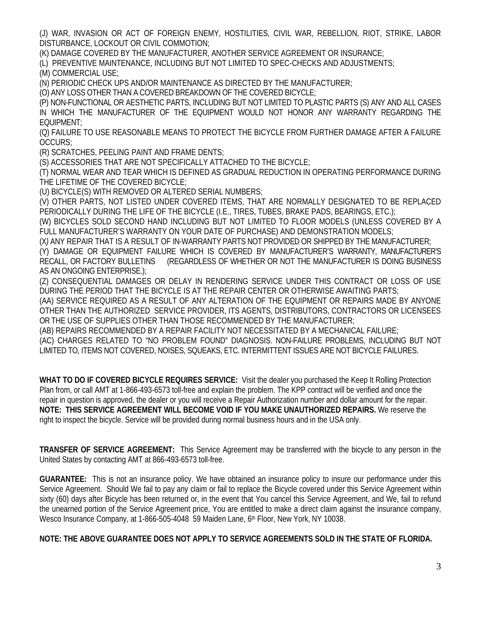(J) WAR, INVASION OR ACT OF FOREIGN ENEMY, HOSTILITIES, CIVIL WAR, REBELLION, RIOT, STRIKE, LABOR DISTURBANCE, LOCKOUT OR CIVIL COMMOTION;

(K) DAMAGE COVERED BY THE MANUFACTURER, ANOTHER SERVICE AGREEMENT OR INSURANCE;

(L) PREVENTIVE MAINTENANCE, INCLUDING BUT NOT LIMITED TO SPEC-CHECKS AND ADJUSTMENTS;

(M) COMMERCIAL USE;

(N) PERIODIC CHECK UPS AND/OR MAINTENANCE AS DIRECTED BY THE MANUFACTURER;

(O) ANY LOSS OTHER THAN A COVERED BREAKDOWN OF THE COVERED BICYCLE;

(P) NON-FUNCTIONAL OR AESTHETIC PARTS, INCLUDING BUT NOT LIMITED TO PLASTIC PARTS (S) ANY AND ALL CASES IN WHICH THE MANUFACTURER OF THE EQUIPMENT WOULD NOT HONOR ANY WARRANTY REGARDING THE EQUIPMENT;

(Q) FAILURE TO USE REASONABLE MEANS TO PROTECT THE BICYCLE FROM FURTHER DAMAGE AFTER A FAILURE OCCURS;

(R) SCRATCHES, PEELING PAINT AND FRAME DENTS;

(S) ACCESSORIES THAT ARE NOT SPECIFICALLY ATTACHED TO THE BICYCLE;

(T) NORMAL WEAR AND TEAR WHICH IS DEFINED AS GRADUAL REDUCTION IN OPERATING PERFORMANCE DURING THE LIFETIME OF THE COVERED BICYCLE;

(U) BICYCLE(S) WITH REMOVED OR ALTERED SERIAL NUMBERS;

(V) OTHER PARTS, NOT LISTED UNDER COVERED ITEMS, THAT ARE NORMALLY DESIGNATED TO BE REPLACED PERIODICALLY DURING THE LIFE OF THE BICYCLE (I.E., TIRES, TUBES, BRAKE PADS, BEARINGS, ETC.);

(W) BICYCLES SOLD SECOND HAND INCLUDING BUT NOT LIMITED TO FLOOR MODELS (UNLESS COVERED BY A FULL MANUFACTURER'S WARRANTY ON YOUR DATE OF PURCHASE) AND DEMONSTRATION MODELS;

(X*)* ANY REPAIR THAT IS A RESULT OF IN-WARRANTY PARTS NOT PROVIDED OR SHIPPED BY THE MANUFACTURER; (Y) DAMAGE OR EQUIPMENT FAILURE WHICH IS COVERED BY MANUFACTURER'S WARRANTY, MANUFACTURER'S RECALL, OR FACTORY BULLETINS (REGARDLESS OF WHETHER OR NOT THE MANUFACTURER IS DOING BUSINESS AS AN ONGOING ENTERPRISE.);

(Z) CONSEQUENTIAL DAMAGES OR DELAY IN RENDERING SERVICE UNDER THIS CONTRACT OR LOSS OF USE DURING THE PERIOD THAT THE BICYCLE IS AT THE REPAIR CENTER OR OTHERWISE AWAITING PARTS;

(AA) SERVICE REQUIRED AS A RESULT OF ANY ALTERATION OF THE EQUIPMENT OR REPAIRS MADE BY ANYONE OTHER THAN THE AUTHORIZED SERVICE PROVIDER, ITS AGENTS, DISTRIBUTORS, CONTRACTORS OR LICENSEES OR THE USE OF SUPPLIES OTHER THAN THOSE RECOMMENDED BY THE MANUFACTURER;

(AB) REPAIRS RECOMMENDED BY A REPAIR FACILITY NOT NECESSITATED BY A MECHANICAL FAILURE; (AC) CHARGES RELATED TO "NO PROBLEM FOUND" DIAGNOSIS. NON-FAILURE PROBLEMS, INCLUDING BUT NOT LIMITED TO, ITEMS NOT COVERED, NOISES, SQUEAKS, ETC. INTERMITTENT ISSUES ARE NOT BICYCLE FAILURES.

**WHAT TO DO IF COVERED BICYCLE REQUIRES SERVICE:** Visit the dealer you purchased the Keep It Rolling Protection Plan from, or call AMT at 1-866-493-6573 toll-free and explain the problem. The KPP contract will be verified and once the repair in question is approved, the dealer or you will receive a Repair Authorization number and dollar amount for the repair. **NOTE: THIS SERVICE AGREEMENT WILL BECOME VOID IF YOU MAKE UNAUTHORIZED REPAIRS.** We reserve the right to inspect the bicycle. Service will be provided during normal business hours and in the USA only.

**TRANSFER OF SERVICE AGREEMENT:** This Service Agreement may be transferred with the bicycle to any person in the United States by contacting AMT at 866-493-6573 toll-free.

**GUARANTEE:** This is not an insurance policy. We have obtained an insurance policy to insure our performance under this Service Agreement. Should We fail to pay any claim or fail to replace the Bicycle covered under this Service Agreement within sixty (60) days after Bicycle has been returned or, in the event that You cancel this Service Agreement, and We, fail to refund the unearned portion of the Service Agreement price, You are entitled to make a direct claim against the insurance company, Wesco Insurance Company, at 1-866-505-4048 59 Maiden Lane, 6th Floor, New York, NY 10038.

**NOTE: THE ABOVE GUARANTEE DOES NOT APPLY TO SERVICE AGREEMENTS SOLD IN THE STATE OF FLORIDA.**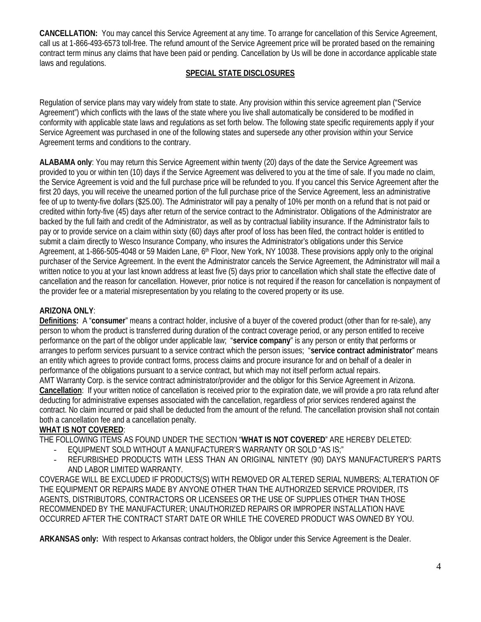**CANCELLATION:** You may cancel this Service Agreement at any time. To arrange for cancellation of this Service Agreement, call us at 1-866-493-6573 toll-free. The refund amount of the Service Agreement price will be prorated based on the remaining contract term minus any claims that have been paid or pending. Cancellation by Us will be done in accordance applicable state laws and regulations.

### **SPECIAL STATE DISCLOSURES**

Regulation of service plans may vary widely from state to state. Any provision within this service agreement plan ("Service Agreement") which conflicts with the laws of the state where you live shall automatically be considered to be modified in conformity with applicable state laws and regulations as set forth below. The following state specific requirements apply if your Service Agreement was purchased in one of the following states and supersede any other provision within your Service Agreement terms and conditions to the contrary.

**ALABAMA only**: You may return this Service Agreement within twenty (20) days of the date the Service Agreement was provided to you or within ten (10) days if the Service Agreement was delivered to you at the time of sale. If you made no claim, the Service Agreement is void and the full purchase price will be refunded to you. If you cancel this Service Agreement after the first 20 days, you will receive the unearned portion of the full purchase price of the Service Agreement, less an administrative fee of up to twenty-five dollars (\$25.00). The Administrator will pay a penalty of 10% per month on a refund that is not paid or credited within forty-five (45) days after return of the service contract to the Administrator. Obligations of the Administrator are backed by the full faith and credit of the Administrator, as well as by contractual liability insurance. If the Administrator fails to pay or to provide service on a claim within sixty (60) days after proof of loss has been filed, the contract holder is entitled to submit a claim directly to Wesco Insurance Company, who insures the Administrator's obligations under this Service Agreement, at 1-866-505-4048 or 59 Maiden Lane, 6<sup>th</sup> Floor, New York, NY 10038. These provisions apply only to the original purchaser of the Service Agreement. In the event the Administrator cancels the Service Agreement, the Administrator will mail a written notice to you at your last known address at least five (5) days prior to cancellation which shall state the effective date of cancellation and the reason for cancellation. However, prior notice is not required if the reason for cancellation is nonpayment of the provider fee or a material misrepresentation by you relating to the covered property or its use.

## **ARIZONA ONLY**:

**Definitions:** A "**consumer**" means a contract holder, inclusive of a buyer of the covered product (other than for re-sale), any person to whom the product is transferred during duration of the contract coverage period, or any person entitled to receive performance on the part of the obligor under applicable law; "**service company**" is any person or entity that performs or arranges to perform services pursuant to a service contract which the person issues; "**service contract administrator**" means an entity which agrees to provide contract forms, process claims and procure insurance for and on behalf of a dealer in performance of the obligations pursuant to a service contract, but which may not itself perform actual repairs. AMT Warranty Corp. is the service contract administrator/provider and the obligor for this Service Agreement in Arizona. **Cancellation**: If your written notice of cancellation is received prior to the expiration date, we will provide a pro rata refund after deducting for administrative expenses associated with the cancellation, regardless of prior services rendered against the contract. No claim incurred or paid shall be deducted from the amount of the refund. The cancellation provision shall not contain both a cancellation fee and a cancellation penalty.

### **WHAT IS NOT COVERED**:

THE FOLLOWING ITEMS AS FOUND UNDER THE SECTION "**WHAT IS NOT COVERED**" ARE HEREBY DELETED:

- EQUIPMENT SOLD WITHOUT A MANUFACTURER'S WARRANTY OR SOLD "AS IS;"
- REFURBISHED PRODUCTS WITH LESS THAN AN ORIGINAL NINTETY (90) DAYS MANUFACTURER'S PARTS AND LABOR LIMITED WARRANTY.

COVERAGE WILL BE EXCLUDED IF PRODUCTS(S) WITH REMOVED OR ALTERED SERIAL NUMBERS; ALTERATION OF THE EQUIPMENT OR REPAIRS MADE BY ANYONE OTHER THAN THE AUTHORIZED SERVICE PROVIDER, ITS AGENTS, DISTRIBUTORS, CONTRACTORS OR LICENSEES OR THE USE OF SUPPLIES OTHER THAN THOSE RECOMMENDED BY THE MANUFACTURER; UNAUTHORIZED REPAIRS OR IMPROPER INSTALLATION HAVE OCCURRED AFTER THE CONTRACT START DATE OR WHILE THE COVERED PRODUCT WAS OWNED BY YOU.

**ARKANSAS only:** With respect to Arkansas contract holders, the Obligor under this Service Agreement is the Dealer.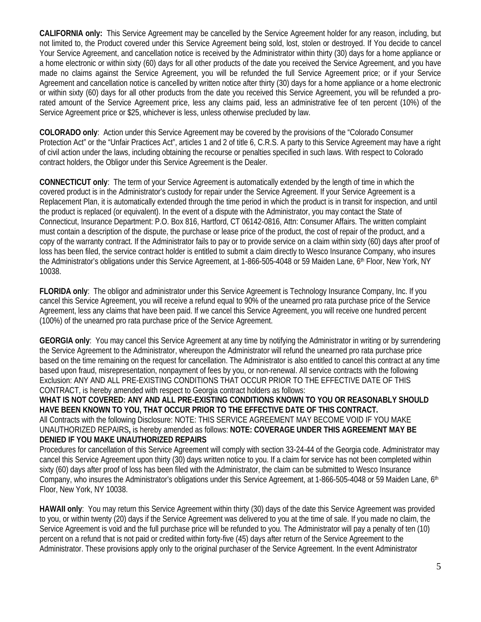**CALIFORNIA only:** This Service Agreement may be cancelled by the Service Agreement holder for any reason, including, but not limited to, the Product covered under this Service Agreement being sold, lost, stolen or destroyed. If You decide to cancel Your Service Agreement, and cancellation notice is received by the Administrator within thirty (30) days for a home appliance or a home electronic or within sixty (60) days for all other products of the date you received the Service Agreement, and you have made no claims against the Service Agreement, you will be refunded the full Service Agreement price; or if your Service Agreement and cancellation notice is cancelled by written notice after thirty (30) days for a home appliance or a home electronic or within sixty (60) days for all other products from the date you received this Service Agreement, you will be refunded a prorated amount of the Service Agreement price, less any claims paid, less an administrative fee of ten percent (10%) of the Service Agreement price or \$25, whichever is less, unless otherwise precluded by law.

**COLORADO only**: Action under this Service Agreement may be covered by the provisions of the "Colorado Consumer Protection Act" or the "Unfair Practices Act", articles 1 and 2 of title 6, C.R.S. A party to this Service Agreement may have a right of civil action under the laws, including obtaining the recourse or penalties specified in such laws. With respect to Colorado contract holders, the Obligor under this Service Agreement is the Dealer.

**CONNECTICUT only**: The term of your Service Agreement is automatically extended by the length of time in which the covered product is in the Administrator's custody for repair under the Service Agreement. If your Service Agreement is a Replacement Plan, it is automatically extended through the time period in which the product is in transit for inspection, and until the product is replaced (or equivalent). In the event of a dispute with the Administrator, you may contact the State of Connecticut, Insurance Department: P.O. Box 816, Hartford, CT 06142-0816, Attn: Consumer Affairs. The written complaint must contain a description of the dispute, the purchase or lease price of the product, the cost of repair of the product, and a copy of the warranty contract. If the Administrator fails to pay or to provide service on a claim within sixty (60) days after proof of loss has been filed, the service contract holder is entitled to submit a claim directly to Wesco Insurance Company, who insures the Administrator's obligations under this Service Agreement, at 1-866-505-4048 or 59 Maiden Lane, 6th Floor, New York, NY 10038.

**FLORIDA only**: The obligor and administrator under this Service Agreement is Technology Insurance Company, Inc. If you cancel this Service Agreement, you will receive a refund equal to 90% of the unearned pro rata purchase price of the Service Agreement, less any claims that have been paid. If we cancel this Service Agreement, you will receive one hundred percent (100%) of the unearned pro rata purchase price of the Service Agreement.

**GEORGIA only**: You may cancel this Service Agreement at any time by notifying the Administrator in writing or by surrendering the Service Agreement to the Administrator, whereupon the Administrator will refund the unearned pro rata purchase price based on the time remaining on the request for cancellation. The Administrator is also entitled to cancel this contract at any time based upon fraud, misrepresentation, nonpayment of fees by you, or non-renewal. All service contracts with the following Exclusion: ANY AND ALL PRE-EXISTING CONDITIONS THAT OCCUR PRIOR TO THE EFFECTIVE DATE OF THIS CONTRACT, is hereby amended with respect to Georgia contract holders as follows:

**WHAT IS NOT COVERED: ANY AND ALL PRE-EXISTING CONDITIONS KNOWN TO YOU OR REASONABLY SHOULD HAVE BEEN KNOWN TO YOU, THAT OCCUR PRIOR TO THE EFFECTIVE DATE OF THIS CONTRACT.** All Contracts with the following Disclosure: NOTE: THIS SERVICE AGREEMENT MAY BECOME VOID IF YOU MAKE UNAUTHORIZED REPAIRS**,** is hereby amended as follows: **NOTE: COVERAGE UNDER THIS AGREEMENT MAY BE DENIED IF YOU MAKE UNAUTHORIZED REPAIRS**

Procedures for cancellation of this Service Agreement will comply with section 33-24-44 of the Georgia code. Administrator may cancel this Service Agreement upon thirty (30) days written notice to you. If a claim for service has not been completed within sixty (60) days after proof of loss has been filed with the Administrator, the claim can be submitted to Wesco Insurance Company, who insures the Administrator's obligations under this Service Agreement, at 1-866-505-4048 or 59 Maiden Lane, 6th Floor, New York, NY 10038.

**HAWAII only**: You may return this Service Agreement within thirty (30) days of the date this Service Agreement was provided to you, or within twenty (20) days if the Service Agreement was delivered to you at the time of sale. If you made no claim, the Service Agreement is void and the full purchase price will be refunded to you. The Administrator will pay a penalty of ten (10) percent on a refund that is not paid or credited within forty-five (45) days after return of the Service Agreement to the Administrator. These provisions apply only to the original purchaser of the Service Agreement. In the event Administrator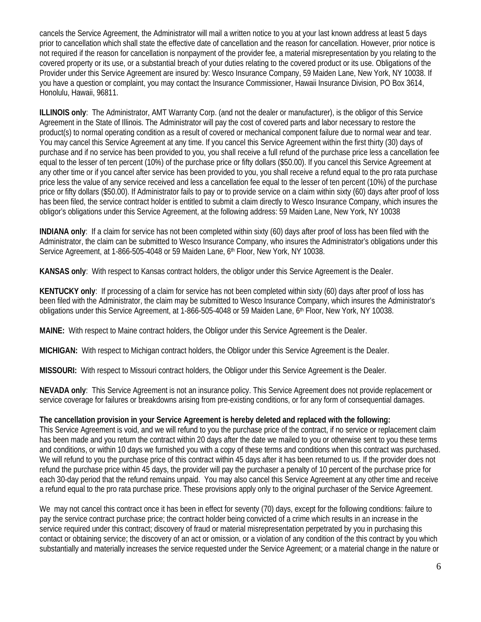cancels the Service Agreement, the Administrator will mail a written notice to you at your last known address at least 5 days prior to cancellation which shall state the effective date of cancellation and the reason for cancellation. However, prior notice is not required if the reason for cancellation is nonpayment of the provider fee, a material misrepresentation by you relating to the covered property or its use, or a substantial breach of your duties relating to the covered product or its use. Obligations of the Provider under this Service Agreement are insured by: Wesco Insurance Company, 59 Maiden Lane, New York, NY 10038. If you have a question or complaint, you may contact the Insurance Commissioner, Hawaii Insurance Division, PO Box 3614, Honolulu, Hawaii, 96811.

**ILLINOIS only**: The Administrator, AMT Warranty Corp. (and not the dealer or manufacturer), is the obligor of this Service Agreement in the State of Illinois. The Administrator will pay the cost of covered parts and labor necessary to restore the product(s) to normal operating condition as a result of covered or mechanical component failure due to normal wear and tear. You may cancel this Service Agreement at any time. If you cancel this Service Agreement within the first thirty (30) days of purchase and if no service has been provided to you, you shall receive a full refund of the purchase price less a cancellation fee equal to the lesser of ten percent (10%) of the purchase price or fifty dollars (\$50.00). If you cancel this Service Agreement at any other time or if you cancel after service has been provided to you, you shall receive a refund equal to the pro rata purchase price less the value of any service received and less a cancellation fee equal to the lesser of ten percent (10%) of the purchase price or fifty dollars (\$50.00). If Administrator fails to pay or to provide service on a claim within sixty (60) days after proof of loss has been filed, the service contract holder is entitled to submit a claim directly to Wesco Insurance Company, which insures the obligor's obligations under this Service Agreement, at the following address: 59 Maiden Lane, New York, NY 10038

**INDIANA only**: If a claim for service has not been completed within sixty (60) days after proof of loss has been filed with the Administrator, the claim can be submitted to Wesco Insurance Company, who insures the Administrator's obligations under this Service Agreement, at 1-866-505-4048 or 59 Maiden Lane, 6th Floor, New York, NY 10038.

**KANSAS only**: With respect to Kansas contract holders, the obligor under this Service Agreement is the Dealer.

**KENTUCKY only**: If processing of a claim for service has not been completed within sixty (60) days after proof of loss has been filed with the Administrator, the claim may be submitted to Wesco Insurance Company, which insures the Administrator's obligations under this Service Agreement, at 1-866-505-4048 or 59 Maiden Lane, 6th Floor, New York, NY 10038.

**MAINE:** With respect to Maine contract holders, the Obligor under this Service Agreement is the Dealer.

**MICHIGAN:** With respect to Michigan contract holders, the Obligor under this Service Agreement is the Dealer.

**MISSOURI:** With respect to Missouri contract holders, the Obligor under this Service Agreement is the Dealer.

**NEVADA only**: This Service Agreement is not an insurance policy. This Service Agreement does not provide replacement or service coverage for failures or breakdowns arising from pre-existing conditions, or for any form of consequential damages.

#### **The cancellation provision in your Service Agreement is hereby deleted and replaced with the following:**

This Service Agreement is void, and we will refund to you the purchase price of the contract, if no service or replacement claim has been made and you return the contract within 20 days after the date we mailed to you or otherwise sent to you these terms and conditions, or within 10 days we furnished you with a copy of these terms and conditions when this contract was purchased. We will refund to you the purchase price of this contract within 45 days after it has been returned to us. If the provider does not refund the purchase price within 45 days, the provider will pay the purchaser a penalty of 10 percent of the purchase price for each 30-day period that the refund remains unpaid. You may also cancel this Service Agreement at any other time and receive a refund equal to the pro rata purchase price. These provisions apply only to the original purchaser of the Service Agreement.

We may not cancel this contract once it has been in effect for seventy (70) days, except for the following conditions: failure to pay the service contract purchase price; the contract holder being convicted of a crime which results in an increase in the service required under this contract; discovery of fraud or material misrepresentation perpetrated by you in purchasing this contact or obtaining service; the discovery of an act or omission, or a violation of any condition of the this contract by you which substantially and materially increases the service requested under the Service Agreement; or a material change in the nature or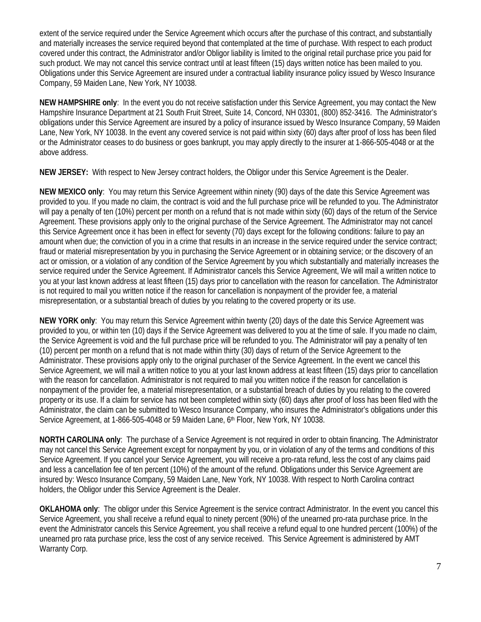extent of the service required under the Service Agreement which occurs after the purchase of this contract, and substantially and materially increases the service required beyond that contemplated at the time of purchase. With respect to each product covered under this contract, the Administrator and/or Obligor liability is limited to the original retail purchase price you paid for such product. We may not cancel this service contract until at least fifteen (15) days written notice has been mailed to you. Obligations under this Service Agreement are insured under a contractual liability insurance policy issued by Wesco Insurance Company, 59 Maiden Lane, New York, NY 10038.

**NEW HAMPSHIRE only**: In the event you do not receive satisfaction under this Service Agreement, you may contact the New Hampshire Insurance Department at 21 South Fruit Street, Suite 14, Concord, NH 03301, (800) 852-3416. The Administrator's obligations under this Service Agreement are insured by a policy of insurance issued by Wesco Insurance Company, 59 Maiden Lane, New York, NY 10038. In the event any covered service is not paid within sixty (60) days after proof of loss has been filed or the Administrator ceases to do business or goes bankrupt, you may apply directly to the insurer at 1-866-505-4048 or at the above address.

**NEW JERSEY:** With respect to New Jersey contract holders, the Obligor under this Service Agreement is the Dealer.

**NEW MEXICO only**: You may return this Service Agreement within ninety (90) days of the date this Service Agreement was provided to you. If you made no claim, the contract is void and the full purchase price will be refunded to you. The Administrator will pay a penalty of ten (10%) percent per month on a refund that is not made within sixty (60) days of the return of the Service Agreement. These provisions apply only to the original purchase of the Service Agreement. The Administrator may not cancel this Service Agreement once it has been in effect for seventy (70) days except for the following conditions: failure to pay an amount when due; the conviction of you in a crime that results in an increase in the service required under the service contract; fraud or material misrepresentation by you in purchasing the Service Agreement or in obtaining service; or the discovery of an act or omission, or a violation of any condition of the Service Agreement by you which substantially and materially increases the service required under the Service Agreement. If Administrator cancels this Service Agreement, We will mail a written notice to you at your last known address at least fifteen (15) days prior to cancellation with the reason for cancellation. The Administrator is not required to mail you written notice if the reason for cancellation is nonpayment of the provider fee, a material misrepresentation, or a substantial breach of duties by you relating to the covered property or its use.

**NEW YORK only**: You may return this Service Agreement within twenty (20) days of the date this Service Agreement was provided to you, or within ten (10) days if the Service Agreement was delivered to you at the time of sale. If you made no claim, the Service Agreement is void and the full purchase price will be refunded to you. The Administrator will pay a penalty of ten (10) percent per month on a refund that is not made within thirty (30) days of return of the Service Agreement to the Administrator. These provisions apply only to the original purchaser of the Service Agreement. In the event we cancel this Service Agreement, we will mail a written notice to you at your last known address at least fifteen (15) days prior to cancellation with the reason for cancellation. Administrator is not required to mail you written notice if the reason for cancellation is nonpayment of the provider fee, a material misrepresentation, or a substantial breach of duties by you relating to the covered property or its use. If a claim for service has not been completed within sixty (60) days after proof of loss has been filed with the Administrator, the claim can be submitted to Wesco Insurance Company, who insures the Administrator's obligations under this Service Agreement, at 1-866-505-4048 or 59 Maiden Lane, 6th Floor, New York, NY 10038.

**NORTH CAROLINA only**: The purchase of a Service Agreement is not required in order to obtain financing. The Administrator may not cancel this Service Agreement except for nonpayment by you, or in violation of any of the terms and conditions of this Service Agreement. If you cancel your Service Agreement, you will receive a pro-rata refund, less the cost of any claims paid and less a cancellation fee of ten percent (10%) of the amount of the refund. Obligations under this Service Agreement are insured by: Wesco Insurance Company, 59 Maiden Lane, New York, NY 10038. With respect to North Carolina contract holders, the Obligor under this Service Agreement is the Dealer.

**OKLAHOMA only**: The obligor under this Service Agreement is the service contract Administrator. In the event you cancel this Service Agreement, you shall receive a refund equal to ninety percent (90%) of the unearned pro-rata purchase price. In the event the Administrator cancels this Service Agreement, you shall receive a refund equal to one hundred percent (100%) of the unearned pro rata purchase price, less the cost of any service received. This Service Agreement is administered by AMT Warranty Corp.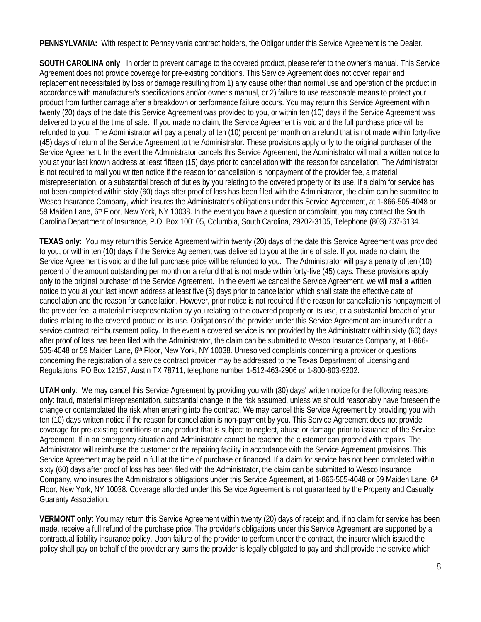**PENNSYLVANIA:** With respect to Pennsylvania contract holders, the Obligor under this Service Agreement is the Dealer.

**SOUTH CAROLINA only**: In order to prevent damage to the covered product, please refer to the owner's manual. This Service Agreement does not provide coverage for pre-existing conditions. This Service Agreement does not cover repair and replacement necessitated by loss or damage resulting from 1) any cause other than normal use and operation of the product in accordance with manufacturer's specifications and/or owner's manual, or 2) failure to use reasonable means to protect your product from further damage after a breakdown or performance failure occurs. You may return this Service Agreement within twenty (20) days of the date this Service Agreement was provided to you, or within ten (10) days if the Service Agreement was delivered to you at the time of sale. If you made no claim, the Service Agreement is void and the full purchase price will be refunded to you. The Administrator will pay a penalty of ten (10) percent per month on a refund that is not made within forty-five (45) days of return of the Service Agreement to the Administrator. These provisions apply only to the original purchaser of the Service Agreement. In the event the Administrator cancels this Service Agreement, the Administrator will mail a written notice to you at your last known address at least fifteen (15) days prior to cancellation with the reason for cancellation. The Administrator is not required to mail you written notice if the reason for cancellation is nonpayment of the provider fee, a material misrepresentation, or a substantial breach of duties by you relating to the covered property or its use. If a claim for service has not been completed within sixty (60) days after proof of loss has been filed with the Administrator, the claim can be submitted to Wesco Insurance Company, which insures the Administrator's obligations under this Service Agreement, at 1-866-505-4048 or 59 Maiden Lane, 6<sup>th</sup> Floor, New York, NY 10038. In the event you have a question or complaint, you may contact the South Carolina Department of Insurance, P.O. Box 100105, Columbia, South Carolina, 29202-3105, Telephone (803) 737-6134.

**TEXAS only**: You may return this Service Agreement within twenty (20) days of the date this Service Agreement was provided to you, or within ten (10) days if the Service Agreement was delivered to you at the time of sale. If you made no claim, the Service Agreement is void and the full purchase price will be refunded to you. The Administrator will pay a penalty of ten (10) percent of the amount outstanding per month on a refund that is not made within forty-five (45) days. These provisions apply only to the original purchaser of the Service Agreement. In the event we cancel the Service Agreement, we will mail a written notice to you at your last known address at least five (5) days prior to cancellation which shall state the effective date of cancellation and the reason for cancellation. However, prior notice is not required if the reason for cancellation is nonpayment of the provider fee, a material misrepresentation by you relating to the covered property or its use, or a substantial breach of your duties relating to the covered product or its use. Obligations of the provider under this Service Agreement are insured under a service contract reimbursement policy. In the event a covered service is not provided by the Administrator within sixty (60) days after proof of loss has been filed with the Administrator, the claim can be submitted to Wesco Insurance Company, at 1-866- 505-4048 or 59 Maiden Lane, 6<sup>th</sup> Floor, New York, NY 10038. Unresolved complaints concerning a provider or questions concerning the registration of a service contract provider may be addressed to the Texas Department of Licensing and Regulations, PO Box 12157, Austin TX 78711, telephone number 1-512-463-2906 or 1-800-803-9202.

**UTAH only**: We may cancel this Service Agreement by providing you with (30) days' written notice for the following reasons only: fraud, material misrepresentation, substantial change in the risk assumed, unless we should reasonably have foreseen the change or contemplated the risk when entering into the contract. We may cancel this Service Agreement by providing you with ten (10) days written notice if the reason for cancellation is non-payment by you. This Service Agreement does not provide coverage for pre-existing conditions or any product that is subject to neglect, abuse or damage prior to issuance of the Service Agreement. If in an emergency situation and Administrator cannot be reached the customer can proceed with repairs. The Administrator will reimburse the customer or the repairing facility in accordance with the Service Agreement provisions. This Service Agreement may be paid in full at the time of purchase or financed. If a claim for service has not been completed within sixty (60) days after proof of loss has been filed with the Administrator, the claim can be submitted to Wesco Insurance Company, who insures the Administrator's obligations under this Service Agreement, at 1-866-505-4048 or 59 Maiden Lane, 6th Floor, New York, NY 10038. Coverage afforded under this Service Agreement is not guaranteed by the Property and Casualty Guaranty Association.

**VERMONT only**: You may return this Service Agreement within twenty (20) days of receipt and, if no claim for service has been made, receive a full refund of the purchase price. The provider's obligations under this Service Agreement are supported by a contractual liability insurance policy. Upon failure of the provider to perform under the contract, the insurer which issued the policy shall pay on behalf of the provider any sums the provider is legally obligated to pay and shall provide the service which